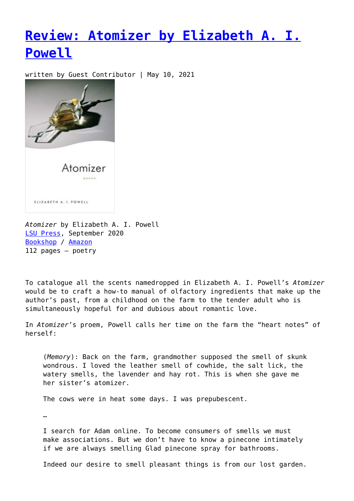## **[Review: Atomizer by Elizabeth A. I.](https://entropymag.org/atomizer-elizabeth-powell/) [Powell](https://entropymag.org/atomizer-elizabeth-powell/)**

written by Guest Contributor | May 10, 2021



*Atomizer* by Elizabeth A. I. Powell [LSU Press](https://lsupress.org/books/detail/atomizer/), September 2020 [Bookshop](https://bookshop.org/books/atomizer-poems/9780807173909?aid=3601) / [Amazon](https://amzn.to/2RECEo6) 112 pages – poetry

To catalogue all the scents namedropped in Elizabeth A. I. Powell's *Atomizer* would be to craft a how-to manual of olfactory ingredients that make up the author's past, from a childhood on the farm to the tender adult who is simultaneously hopeful for and dubious about romantic love.

In *Atomizer*'s proem, Powell calls her time on the farm the "heart notes" of herself:

(*Memory*): Back on the farm, grandmother supposed the smell of skunk wondrous. I loved the leather smell of cowhide, the salt lick, the watery smells, the lavender and hay rot. This is when she gave me her sister's atomizer.

The cows were in heat some days. I was prepubescent.

…

I search for Adam online. To become consumers of smells we must make associations. But we don't have to know a pinecone intimately if we are always smelling Glad pinecone spray for bathrooms.

Indeed our desire to smell pleasant things is from our lost garden.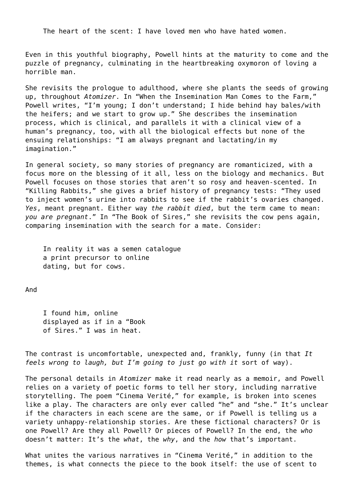The heart of the scent: I have loved men who have hated women.

Even in this youthful biography, Powell hints at the maturity to come and the puzzle of pregnancy, culminating in the heartbreaking oxymoron of loving a horrible man.

She revisits the prologue to adulthood, where she plants the seeds of growing up, throughout *Atomizer*. In "When the Insemination Man Comes to the Farm," Powell writes, "I'm young; I don't understand; I hide behind hay bales/with the heifers; and we start to grow up." She describes the insemination process, which is clinical, and parallels it with a clinical view of a human's pregnancy, too, with all the biological effects but none of the ensuing relationships: "I am always pregnant and lactating/in my imagination."

In general society, so many stories of pregnancy are romanticized, with a focus more on the blessing of it all, less on the biology and mechanics. But Powell focuses on those stories that aren't so rosy and heaven-scented. In "Killing Rabbits," she gives a brief history of pregnancy tests: "They used to inject women's urine into rabbits to see if the rabbit's ovaries changed. *Yes*, meant pregnant. Either way *the rabbit died*, but the term came to mean: *you are pregnant*." In "The Book of Sires," she revisits the cow pens again, comparing insemination with the search for a mate. Consider:

In reality it was a semen catalogue a print precursor to online dating, but for cows.

And

I found him, online displayed as if in a "Book of Sires." I was in heat.

The contrast is uncomfortable, unexpected and, frankly, funny (in that *It feels wrong to laugh, but I'm going to just go with it* sort of way).

The personal details in *Atomizer* make it read nearly as a memoir, and Powell relies on a variety of poetic forms to tell her story, including narrative storytelling. The poem "Cinema Verité," for example, is broken into scenes like a play. The characters are only ever called "he" and "she." It's unclear if the characters in each scene are the same, or if Powell is telling us a variety unhappy-relationship stories. Are these fictional characters? Or is one Powell? Are they all Powell? Or pieces of Powell? In the end, the *who* doesn't matter: It's the *what*, the *why*, and the *how* that's important.

What unites the various narratives in "Cinema Verité," in addition to the themes, is what connects the piece to the book itself: the use of scent to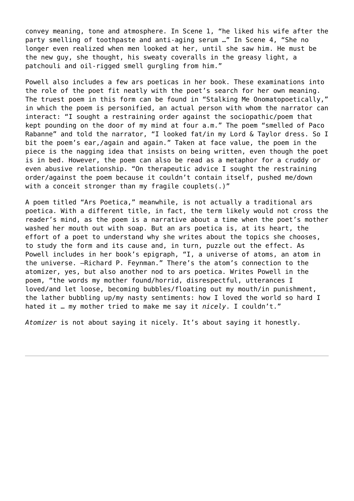convey meaning, tone and atmosphere. In Scene 1, "he liked his wife after the party smelling of toothpaste and anti-aging serum …" In Scene 4, "She no longer even realized when men looked at her, until she saw him. He must be the new guy, she thought, his sweaty coveralls in the greasy light, a patchouli and oil-rigged smell gurgling from him."

Powell also includes a few ars poeticas in her book. These examinations into the role of the poet fit neatly with the poet's search for her own meaning. The truest poem in this form can be found in "Stalking Me Onomatopoetically," in which the poem is personified, an actual person with whom the narrator can interact: "I sought a restraining order against the sociopathic/poem that kept pounding on the door of my mind at four a.m." The poem "smelled of Paco Rabanne" and told the narrator, "I looked fat/in my Lord & Taylor dress. So I bit the poem's ear,/again and again." Taken at face value, the poem in the piece is the nagging idea that insists on being written, even though the poet is in bed. However, the poem can also be read as a metaphor for a cruddy or even abusive relationship. "On therapeutic advice I sought the restraining order/against the poem because it couldn't contain itself, pushed me/down with a conceit stronger than my fragile couplets(.)"

A poem titled "Ars Poetica," meanwhile, is not actually a traditional ars poetica. With a different title, in fact, the term likely would not cross the reader's mind, as the poem is a narrative about a time when the poet's mother washed her mouth out with soap. But an ars poetica is, at its heart, the effort of a poet to understand why she writes about the topics she chooses, to study the form and its cause and, in turn, puzzle out the effect. As Powell includes in her book's epigraph, "I, a universe of atoms, an atom in the universe. –Richard P. Feynman." There's the atom's connection to the atomizer, yes, but also another nod to ars poetica. Writes Powell in the poem, "the words my mother found/horrid, disrespectful, utterances I loved/and let loose, becoming bubbles/floating out my mouth/in punishment, the lather bubbling up/my nasty sentiments: how I loved the world so hard I hated it … my mother tried to make me say it *nicely*. I couldn't."

*Atomizer* is not about saying it nicely. It's about saying it honestly.